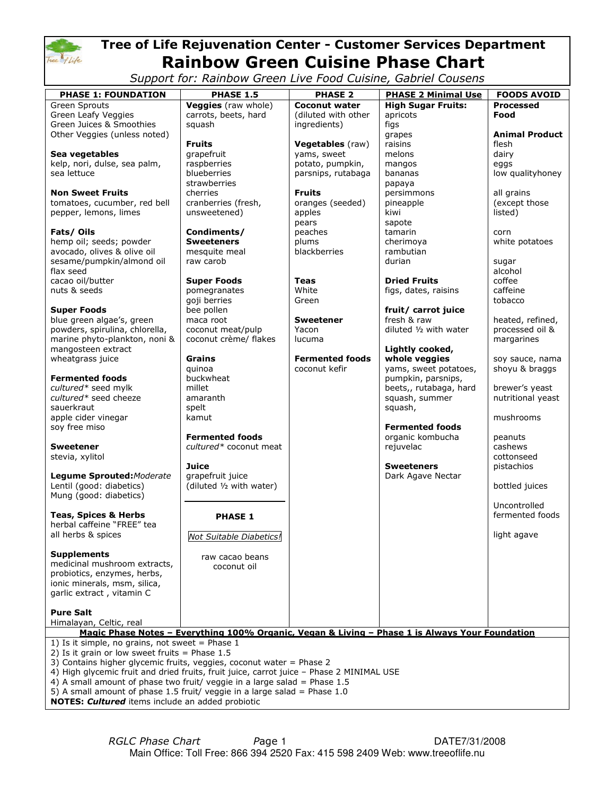

# Tree of Life Rejuvenation Center - Customer Services Department Rainbow Green Cuisine Phase Chart

Support for: Rainbow Green Live Food Cuisine, Gabriel Cousens

| <b>PHASE 1: FOUNDATION</b>                                                                                                                                 | <b>PHASE 1.5</b>                            | <b>PHASE 2</b>         | <b>PHASE 2 Minimal Use</b> |                                        |
|------------------------------------------------------------------------------------------------------------------------------------------------------------|---------------------------------------------|------------------------|----------------------------|----------------------------------------|
| <b>Green Sprouts</b>                                                                                                                                       |                                             | <b>Coconut water</b>   | <b>High Sugar Fruits:</b>  | <b>FOODS AVOID</b><br><b>Processed</b> |
| Green Leafy Veggies                                                                                                                                        | Veggies (raw whole)<br>carrots, beets, hard | (diluted with other    | apricots                   | Food                                   |
| Green Juices & Smoothies                                                                                                                                   | squash                                      | ingredients)           | figs                       |                                        |
| Other Veggies (unless noted)                                                                                                                               |                                             |                        | grapes                     | <b>Animal Product</b>                  |
|                                                                                                                                                            | <b>Fruits</b>                               | Vegetables (raw)       | raisins                    | flesh                                  |
| Sea vegetables                                                                                                                                             | grapefruit                                  | yams, sweet            | melons                     | dairy                                  |
| kelp, nori, dulse, sea palm,                                                                                                                               | raspberries                                 | potato, pumpkin,       | mangos                     | eggs                                   |
| sea lettuce                                                                                                                                                | blueberries                                 | parsnips, rutabaga     | bananas                    | low qualityhoney                       |
|                                                                                                                                                            | strawberries                                |                        | papaya                     |                                        |
| <b>Non Sweet Fruits</b>                                                                                                                                    | cherries                                    | <b>Fruits</b>          | persimmons                 | all grains                             |
| tomatoes, cucumber, red bell                                                                                                                               | cranberries (fresh,                         | oranges (seeded)       | pineapple                  | (except those                          |
| pepper, lemons, limes                                                                                                                                      | unsweetened)                                | apples                 | kiwi                       | listed)                                |
|                                                                                                                                                            |                                             | pears                  | sapote                     |                                        |
| Fats/Oils                                                                                                                                                  | Condiments/                                 | peaches                | tamarin                    | corn                                   |
| hemp oil; seeds; powder                                                                                                                                    | <b>Sweeteners</b>                           | plums                  | cherimoya                  | white potatoes                         |
| avocado, olives & olive oil                                                                                                                                | mesquite meal                               | blackberries           | rambutian                  |                                        |
| sesame/pumpkin/almond oil                                                                                                                                  | raw carob                                   |                        | durian                     | sugar                                  |
| flax seed                                                                                                                                                  |                                             |                        |                            | alcohol                                |
| cacao oil/butter                                                                                                                                           | <b>Super Foods</b>                          | Teas                   | <b>Dried Fruits</b>        | coffee                                 |
| nuts & seeds                                                                                                                                               | pomegranates                                | White                  | figs, dates, raisins       | caffeine                               |
|                                                                                                                                                            | goji berries                                | Green                  |                            | tobacco                                |
| <b>Super Foods</b>                                                                                                                                         | bee pollen                                  |                        | fruit/ carrot juice        |                                        |
| blue green algae's, green                                                                                                                                  | maca root                                   | <b>Sweetener</b>       | fresh & raw                | heated, refined,                       |
| powders, spirulina, chlorella,                                                                                                                             | coconut meat/pulp                           | Yacon                  | diluted 1/2 with water     | processed oil &                        |
| marine phyto-plankton, noni &                                                                                                                              | coconut crème/ flakes                       | lucuma                 |                            | margarines                             |
| mangosteen extract                                                                                                                                         |                                             |                        | Lightly cooked,            |                                        |
| wheatgrass juice                                                                                                                                           | <b>Grains</b>                               | <b>Fermented foods</b> | whole veggies              | soy sauce, nama                        |
|                                                                                                                                                            | quinoa                                      | coconut kefir          | yams, sweet potatoes,      | shoyu & braggs                         |
| <b>Fermented foods</b>                                                                                                                                     | buckwheat                                   |                        | pumpkin, parsnips,         |                                        |
| cultured* seed mylk                                                                                                                                        | millet                                      |                        | beets,, rutabaga, hard     | brewer's yeast                         |
| cultured* seed cheeze                                                                                                                                      | amaranth                                    |                        | squash, summer             | nutritional yeast                      |
| sauerkraut                                                                                                                                                 | spelt                                       |                        | squash,                    |                                        |
| apple cider vinegar                                                                                                                                        | kamut                                       |                        |                            | mushrooms                              |
| soy free miso                                                                                                                                              |                                             |                        | <b>Fermented foods</b>     |                                        |
|                                                                                                                                                            | <b>Fermented foods</b>                      |                        | organic kombucha           | peanuts                                |
| <b>Sweetener</b>                                                                                                                                           | cultured* coconut meat                      |                        | rejuvelac                  | cashews                                |
| stevia, xylitol                                                                                                                                            |                                             |                        |                            | cottonseed                             |
|                                                                                                                                                            | Juice                                       |                        | <b>Sweeteners</b>          | pistachios                             |
| Legume Sprouted: Moderate                                                                                                                                  | grapefruit juice                            |                        | Dark Agave Nectar          |                                        |
| Lentil (good: diabetics)                                                                                                                                   | (diluted 1/2 with water)                    |                        |                            | bottled juices                         |
| Mung (good: diabetics)                                                                                                                                     |                                             |                        |                            |                                        |
|                                                                                                                                                            |                                             |                        |                            | Uncontrolled                           |
| <b>Teas, Spices &amp; Herbs</b>                                                                                                                            | <b>PHASE 1</b>                              |                        |                            | fermented foods                        |
| herbal caffeine "FREE" tea                                                                                                                                 |                                             |                        |                            |                                        |
| all herbs & spices                                                                                                                                         | Not Suitable Diabetics!                     |                        |                            | light agave                            |
|                                                                                                                                                            |                                             |                        |                            |                                        |
| <b>Supplements</b>                                                                                                                                         | raw cacao beans                             |                        |                            |                                        |
| medicinal mushroom extracts,                                                                                                                               | coconut oil                                 |                        |                            |                                        |
| probiotics, enzymes, herbs,                                                                                                                                |                                             |                        |                            |                                        |
| ionic minerals, msm, silica,                                                                                                                               |                                             |                        |                            |                                        |
| garlic extract, vitamin C                                                                                                                                  |                                             |                        |                            |                                        |
|                                                                                                                                                            |                                             |                        |                            |                                        |
| <b>Pure Salt</b>                                                                                                                                           |                                             |                        |                            |                                        |
| Himalayan, Celtic, real                                                                                                                                    |                                             |                        |                            |                                        |
| Magic Phase Notes - Everything 100% Organic, Vegan & Living - Phase 1 is Always Your Foundation                                                            |                                             |                        |                            |                                        |
| 1) Is it simple, no grains, not sweet = Phase $1$                                                                                                          |                                             |                        |                            |                                        |
| 2) Is it grain or low sweet fruits = Phase $1.5$                                                                                                           |                                             |                        |                            |                                        |
| 3) Contains higher glycemic fruits, veggies, coconut water = Phase 2                                                                                       |                                             |                        |                            |                                        |
| 4) High glycemic fruit and dried fruits, fruit juice, carrot juice - Phase 2 MINIMAL USE                                                                   |                                             |                        |                            |                                        |
| 4) A small amount of phase two fruit/ veggie in a large salad = Phase $1.5$<br>5) A small amount of phase 1.5 fruit/ veggie in a large salad = Phase $1.0$ |                                             |                        |                            |                                        |
|                                                                                                                                                            |                                             |                        |                            |                                        |
| NOTES: Cultured items include an added probiotic                                                                                                           |                                             |                        |                            |                                        |